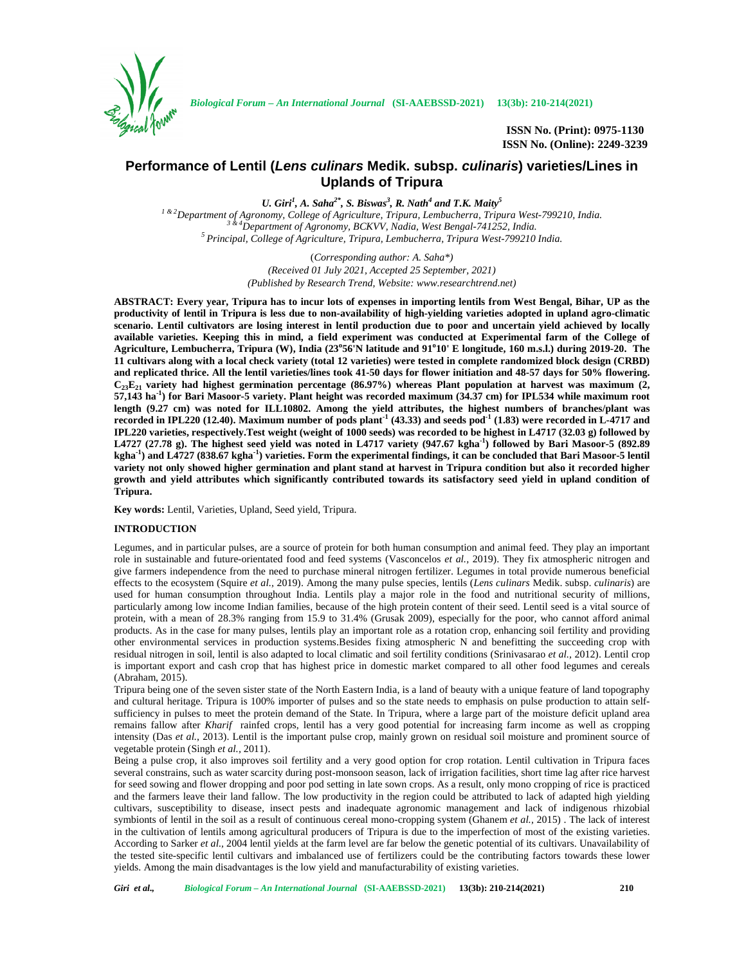

**ISSN No. (Print): 0975-1130 ISSN No. (Online): 2249-3239**

# **Performance of Lentil (***Lens culinars* **Medik. subsp.** *culinaris***) varieties/Lines in Uplands of Tripura**

*U. Giri<sup>1</sup> , A. Saha2\* , S. Biswas<sup>3</sup> , R. Nath<sup>4</sup> and T.K. Maity<sup>5</sup>*

<sup>1 & 2</sup>Department of Agronomy, College of Agriculture, Tripura, Lembucherra, Tripura West-799210, India.<br><sup>3 & 4</sup>Department of Agronomy, BCKVV, Nadia, West Bengal-741252, India.<br><sup>5</sup> Principal, College of Agriculture, Tripu

(*Corresponding author: A. Saha\*) (Received 01 July 2021, Accepted 25 September, 2021) (Published by Research Trend, Website: <www.researchtrend.net>)*

**ABSTRACT: Every year, Tripura has to incur lots of expenses in importing lentils from West Bengal, Bihar, UP as the productivity of lentil in Tripura is less due to non-availability of high-yielding varieties adopted in upland agro-climatic scenario. Lentil cultivators are losing interest in lentil production due to poor and uncertain yield achieved by locally available varieties. Keeping this in mind, a field experiment was conducted at Experimental farm of the College of Agriculture, Lembucherra, Tripura (W), India (23<sup>o</sup>56'N latitude and 91<sup>o</sup>10' E longitude, 160 m.s.l.) during 2019-20. The 11 cultivars along with a local check variety (total 12 varieties) were tested in complete randomized block design (CRBD) and replicated thrice. All the lentil varieties/lines took 41-50 days for flower initiation and 48-57 days for 50% flowering. C23E<sup>21</sup> variety had highest germination percentage (86.97%) whereas Plant population at harvest was maximum (2, 57,143 ha-1 ) for Bari Masoor-5 variety. Plant height was recorded maximum (34.37 cm) for IPL534 while maximum root length (9.27 cm) was noted for ILL10802. Among the yield attributes, the highest numbers of branches/plant was recorded in IPL220 (12.40). Maximum number of pods plant-1 (43.33) and seeds pod-1 (1.83) were recorded in L-4717 and IPL220 varieties, respectively.Test weight (weight of 1000 seeds) was recorded to be highest in L4717 (32.03 g) followed by L4727 (27.78 g). The highest seed yield was noted in L4717 variety (947.67 kgha-1 ) followed by Bari Masoor-5 (892.89 kgha-1 ) and L4727 (838.67 kgha-1 ) varieties. Form the experimental findings, it can be concluded that Bari Masoor-5 lentil variety not only showed higher germination and plant stand at harvest in Tripura condition but also it recorded higher growth and yield attributes which significantly contributed towards its satisfactory seed yield in upland condition of Tripura.**

**Key words:** Lentil, Varieties, Upland, Seed yield, Tripura.

#### **INTRODUCTION**

Legumes, and in particular pulses, are a source of protein for both human consumption and animal feed. They play an important role in sustainable and future-orientated food and feed systems (Vasconcelos *et al.,* 2019). They fix atmospheric nitrogen and give farmers independence from the need to purchase mineral nitrogen fertilizer. Legumes in total provide numerous beneficial effects to the ecosystem (Squire *et al.,* 2019). Among the many pulse species, lentils (*Lens culinars* Medik. subsp. *culinaris*) are used for human consumption throughout India. Lentils play a major role in the food and nutritional security of millions, particularly among low income Indian families, because of the high protein content of their seed. Lentil seed is a vital source of protein, with a mean of 28.3% ranging from 15.9 to 31.4% (Grusak 2009), especially for the poor, who cannot afford animal products. As in the case for many pulses, lentils play an important role as a rotation crop, enhancing soil fertility and providing other environmental services in production systems.Besides fixing atmospheric N and benefitting the succeeding crop with residual nitrogen in soil, lentil is also adapted to local climatic and soil fertility conditions (Srinivasarao *et al.,* 2012). Lentil crop is important export and cash crop that has highest price in domestic market compared to all other food legumes and cereals (Abraham, 2015).

Tripura being one of the seven sister state of the North Eastern India, is a land of beauty with a unique feature of land topography and cultural heritage. Tripura is 100% importer of pulses and so the state needs to emphasis on pulse production to attain self sufficiency in pulses to meet the protein demand of the State. In Tripura, where a large part of the moisture deficit upland area remains fallow after *Kharif* rainfed crops, lentil has a very good potential for increasing farm income as well as cropping intensity (Das *et al.*, 2013). Lentil is the important pulse crop, mainly grown on residual soil moisture and prominent source of vegetable protein (Singh *et al.,* 2011).

Being a pulse crop, it also improves soil fertility and a very good option for crop rotation. Lentil cultivation in Tripura faces several constrains, such as water scarcity during post-monsoon season, lack of irrigation facilities, short time lag after rice harvest for seed sowing and flower dropping and poor pod setting in late sown crops. As a result, only mono cropping of rice is practiced and the farmers leave their land fallow. The low productivity in the region could be attributed to lack of adapted high yielding cultivars, susceptibility to disease, insect pests and inadequate agronomic management and lack of indigenous rhizobial symbionts of lentil in the soil as a result of continuous cereal mono-cropping system (Ghanem *et al.,* 2015) . The lack of interest in the cultivation of lentils among agricultural producers of Tripura is due to the imperfection of most of the existing varieties. According to Sarker *et al.,* 2004 lentil yields at the farm level are far below the genetic potential of its cultivars. Unavailability of the tested site-specific lentil cultivars and imbalanced use of fertilizers could be the contributing factors towards these lower yields. Among the main disadvantages is the low yield and manufacturability of existing varieties.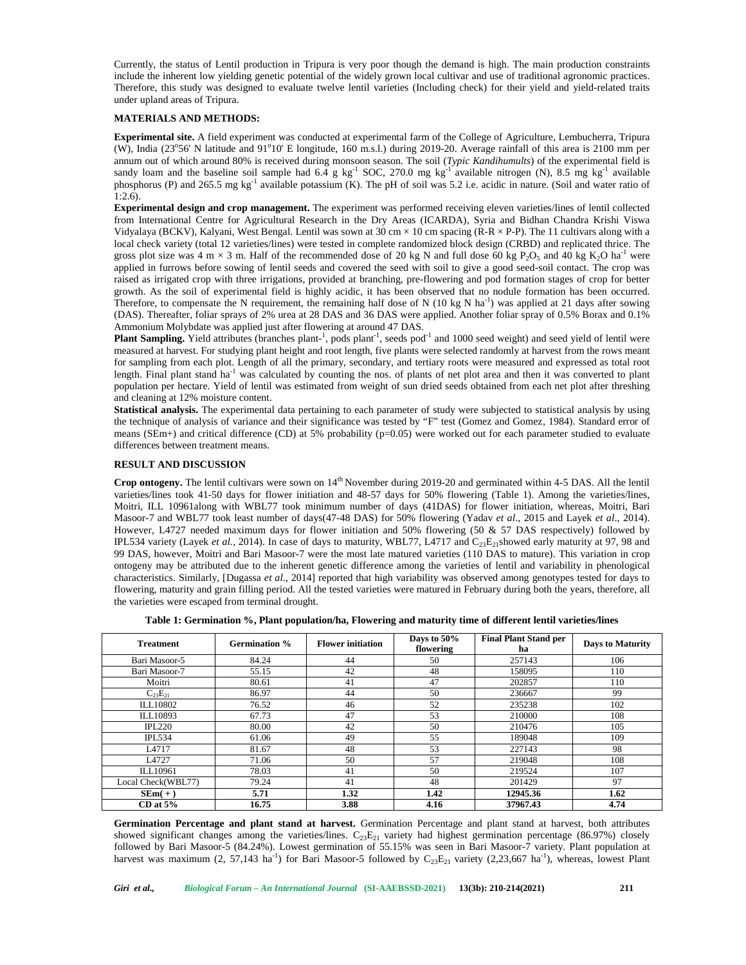Currently, the status of Lentil production in Tripura is very poor though the demand is high. The main production constraints include the inherent low yielding genetic potential of the widely grown local cultivar and use of traditional agronomic practices. Therefore, this study was designed to evaluate twelve lentil varieties (Including check) for their yield and yield-related traits under upland areas of Tripura.

## **MATERIALS AND METHODS:**

**Experimental site.** A field experiment was conducted at experimental farm of the College of Agriculture, Lembucherra, Tripura (W), India ( $23^{\circ}56'$  N latitude and  $91^{\circ}10'$  E longitude, 160 m.s.l.) during 2019-20. Average rainfall of this area is 2100 mm per annum out of which around 80% is received during monsoon season. The soil (*Typic Kandihumults*) of the experimental field is sandy loam and the baseline soil sample had  $6.\overline{4}$  g kg<sup>-1</sup> SOC, 270.0 mg kg<sup>-1</sup> available nitrogen (N), 8.5 mg kg<sup>-1</sup> available phosphorus (P) and 265.5 mg kg-1 available potassium (K). The pH of soil was 5.2 i.e. acidic in nature. (Soil and water ratio of 1:2.6).

**Experimental design and crop management.** The experiment was performed receiving eleven varieties/lines of lentil collected from International Centre for Agricultural Research in the Dry Areas (ICARDA), Syria and Bidhan Chandra Krishi Viswa Vidyalaya (BCKV), Kalyani, West Bengal. Lentil was sown at 30 cm  $\times$  10 cm spacing (R-R  $\times$  P-P). The 11 cultivars along with a local check variety (total 12 varieties/lines) were tested in complete randomized block design (CRBD) and replicated thrice. The gross plot size was 4 m  $\times$  3 m. Half of the recommended dose of 20 kg N and full dose 60 kg P<sub>2</sub>O<sub>5</sub> and 40 kg K<sub>2</sub>O ha<sup>-1</sup> were applied in furrows before sowing of lentil seeds and covered the seed with soil to give a good seed-soil contact. The crop was raised as irrigated crop with three irrigations, provided at branching, pre-flowering and pod formation stages of crop for better growth. As the soil of experimental field is highly acidic, it has been observed that no nodule formation has been occurred. Therefore, to compensate the N requirement, the remaining half dose of N (10 kg N ha<sup>-1</sup>) was applied at 21 days after sowing (DAS). Thereafter, foliar sprays of 2% urea at 28 DAS and 36 DAS were applied. Another foliar spray of 0.5% Borax and 0.1% Ammonium Molybdate was applied just after flowering at around 47 DAS.

**Plant Sampling.** Yield attributes (branches plant-<sup>1</sup>, pods plant<sup>-1</sup>, seeds pod<sup>-1</sup> and 1000 seed weight) and seed yield of lentil were measured at harvest. For studying plant height and root length, five plants were selected randomly at harvest from the rows meant for sampling from each plot. Length of all the primary, secondary, and tertiary roots were measured and expressed as total root length. Final plant stand ha<sup>-1</sup> was calculated by counting the nos. of plants of net plot area and then it was converted to plant population per hectare. Yield of lentil was estimated from weight of sun dried seeds obtained from each net plot after threshing and cleaning at 12% moisture content.

**Statistical analysis.** The experimental data pertaining to each parameter of study were subjected to statistical analysis by using the technique of analysis of variance and their significance was tested by "F" test (Gomez and Gomez, 1984). Standard error of means (SEm+) and critical difference (CD) at 5% probability (p=0.05) were worked out for each parameter studied to evaluate differences between treatment means.

#### **RESULT AND DISCUSSION**

Crop ontogeny. The lentil cultivars were sown on  $14<sup>th</sup>$  November during 2019-20 and germinated within 4-5 DAS. All the lentil varieties/lines took 41-50 days for flower initiation and 48-57 days for 50% flowering (Table 1). Among the varieties/lines, Moitri, ILL 10961along with WBL77 took minimum number of days (41DAS) for flower initiation, whereas, Moitri, Bari Masoor-7 and WBL77 took least number of days(47-48 DAS) for 50% flowering (Yadav *et al*., 2015 and Layek *et al*., 2014). However, L4727 needed maximum days for flower initiation and 50% flowering (50 & 57 DAS respectively) followed by IPL534 variety (Layek *et al.*, 2014). In case of days to maturity, WBL77, L4717 and  $C_{23}E_{21}$ showed early maturity at 97, 98 and 99 DAS, however, Moitri and Bari Masoor-7 were the most late matured varieties (110 DAS to mature). This variation in crop ontogeny may be attributed due to the inherent genetic difference among the varieties of lentil and variability in phenological characteristics. Similarly, [Dugassa *et al.,* 2014] reported that high variability was observed among genotypes tested for days to flowering, maturity and grain filling period. All the tested varieties were matured in February during both the years, therefore, all the varieties were escaped from terminal drought.

| <b>Treatment</b>   | Germination % | <b>Flower initiation</b> | Days to 50%<br>flowering | <b>Final Plant Stand per</b><br>ha | <b>Days to Maturity</b> |
|--------------------|---------------|--------------------------|--------------------------|------------------------------------|-------------------------|
| Bari Masoor-5      | 84.24         | 44                       | 50                       | 257143                             | 106                     |
| Bari Masoor-7      | 55.15         | 42                       | 48                       | 158095                             | 110                     |
| Moitri             | 80.61         | 41                       | 47                       | 202857                             | 110                     |
| $C_{23}E_{21}$     | 86.97         | 44                       | 50                       | 236667                             | 99                      |
| ILL10802           | 76.52         | 46                       | 52                       | 235238                             | 102                     |
| ILL10893           | 67.73         | 47                       | 53                       | 210000                             | 108                     |
| IPL220             | 80.00         | 42                       | 50                       | 210476                             | 105                     |
| <b>IPL534</b>      | 61.06         | 49                       | 55                       | 189048                             | 109                     |
| L4717              | 81.67         | 48                       | 53                       | 227143                             | 98                      |
| L4727              | 71.06         | 50                       | 57                       | 219048                             | 108                     |
| ILL10961           | 78.03         | 41                       | 50                       | 219524                             | 107                     |
| Local Check(WBL77) | 79.24         | 41                       | 48                       | 201429                             | 97                      |
| $SEM(+)$           | 5.71          | 1.32                     | 1.42                     | 12945.36                           | 1.62                    |
| $CD$ at $5\%$      | 16.75         | 3.88                     | 4.16                     | 37967.43                           | 4.74                    |

**Table 1: Germination %, Plant population/ha, Flowering and maturity time of different lentil varieties/lines**

**Germination Percentage and plant stand at harvest.** Germination Percentage and plant stand at harvest, both attributes showed significant changes among the varieties/lines.  $C_{23}E_{21}$  variety had highest germination percentage (86.97%) closely followed by Bari Masoor-5 (84.24%). Lowest germination of 55.15% was seen in Bari Masoor-7 variety. Plant population at harvest was maximum (2, 57,143 ha<sup>-1</sup>) for Bari Masoor-5 followed by  $C_{23}E_{21}$  variety (2,23,667 ha<sup>-1</sup>), whereas, lowest Plant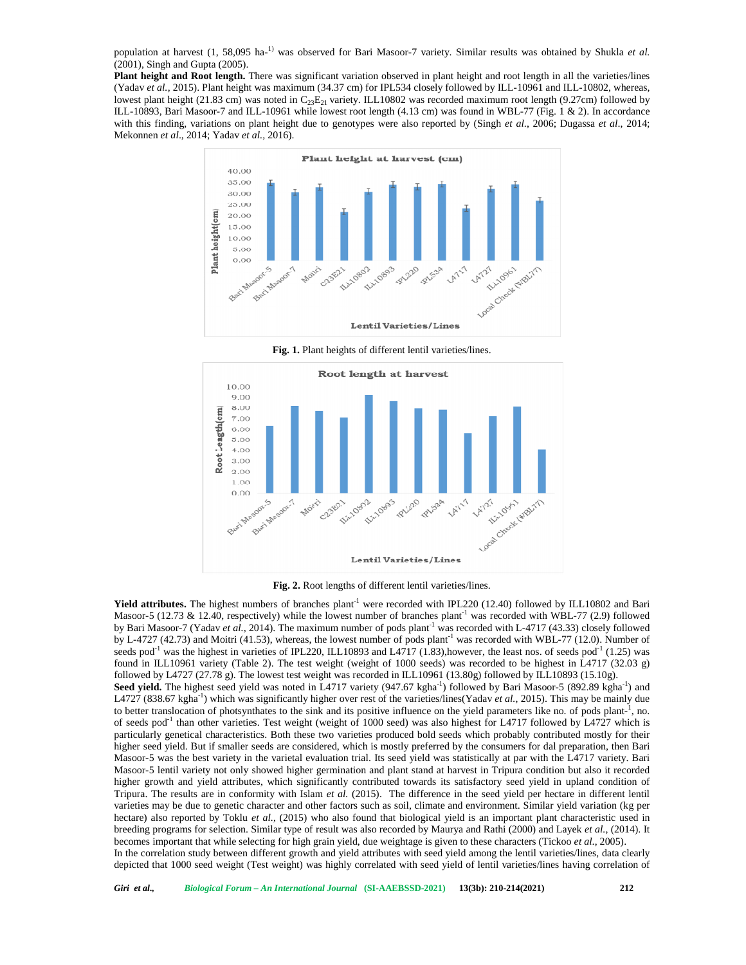population at harvest (1, 58,095 ha-1) was observed for Bari Masoor-7 variety. Similar results was obtained by Shukla *et al.* (2001), Singh and Gupta (2005).

**Plant height and Root length.** There was significant variation observed in plant height and root length in all the varieties/lines (Yadav *et al.,* 2015). Plant height was maximum (34.37 cm) for IPL534 closely followed by ILL-10961 and ILL-10802, whereas, lowest plant height (21.83 cm) was noted in  $C_{23}E_{21}$  variety. ILL10802 was recorded maximum root length (9.27cm) followed by ILL-10893, Bari Masoor-7 and ILL-10961 while lowest root length (4.13 cm) was found in WBL-77 (Fig. 1 & 2). In accordance with this finding, variations on plant height due to genotypes were also reported by (Singh *et al*., 2006; Dugassa *et al*., 2014; Mekonnen *et al*., 2014; Yadav *et al.,* 2016).



**Fig. 1.** Plant heights of different lentil varieties/lines.



**Fig. 2.** Root lengths of different lentil varieties/lines.

**Yield attributes.** The highest numbers of branches plant<sup>-1</sup> were recorded with IPL220 (12.40) followed by ILL10802 and Bari Masoor-5 (12.73 & 12.40, respectively) while the lowest number of branches plant<sup>-1</sup> was recorded with WBL-77 (2.9) followed by Bari Masoor-7 (Yadav *et al.,* 2014). The maximum number of pods plant<sup>-1</sup> was recorded with L-4717 (43.33) closely followed by L-4727 (42.73) and Moitri (41.53), whereas, the lowest number of pods plant<sup>-1</sup> was recorded with WBL-77 (12.0). Number of seeds pod<sup>-1</sup> was the highest in varieties of IPL220, ILL10893 and L4717 (1.83),however, the least nos. of seeds pod<sup>-1</sup> (1.25) was found in ILL10961 variety (Table 2). The test weight (weight of 1000 seeds) was recorded to be highest in L4717 (32.03 g) followed by L4727 (27.78 g). The lowest test weight was recorded in ILL10961 (13.80g) followed by ILL10893 (15.10g). Seed yield. The highest seed yield was noted in L4717 variety (947.67 kgha<sup>-1</sup>) followed by Bari Masoor-5 (892.89 kgha<sup>-1</sup>) and L4727 (838.67 kgha<sup>-1</sup>) which was significantly higher over rest of the varieties/lines(Yadav *et al.*, 2015). This may be mainly due to better translocation of photsynthates to the sink and its positive influence on the yield parameters like no. of pods plant-1, no. of seeds pod<sup>-1</sup> than other varieties. Test weight (weight of 1000 seed) was also highest for L4717 followed by L4727 which is particularly genetical characteristics. Both these two varieties produced bold seeds which probably contributed mostly for their higher seed yield. But if smaller seeds are considered, which is mostly preferred by the consumers for dal preparation, then Bari Masoor-5 was the best variety in the varietal evaluation trial. Its seed yield was statistically at par with the L4717 variety. Bari Masoor-5 lentil variety not only showed higher germination and plant stand at harvest in Tripura condition but also it recorded higher growth and yield attributes, which significantly contributed towards its satisfactory seed yield in upland condition of Tripura. The results are in conformity with Islam *et al.* (2015). The difference in the seed yield per hectare in different lentil varieties may be due to genetic character and other factors such as soil, climate and environment. Similar yield variation (kg per hectare) also reported by Toklu *et al.*, (2015) who also found that biological yield is an important plant characteristic used in breeding programs for selection. Similar type of result was also recorded by Maurya and Rathi (2000) and Layek *et al.*, (2014). It becomes important that while selecting for high grain yield, due weightage is given to these characters (Tickoo *et al*., 2005). In the correlation study between different growth and yield attributes with seed yield among the lentil varieties/lines, data clearly depicted that 1000 seed weight (Test weight) was highly correlated with seed yield of lentil varieties/lines having correlation of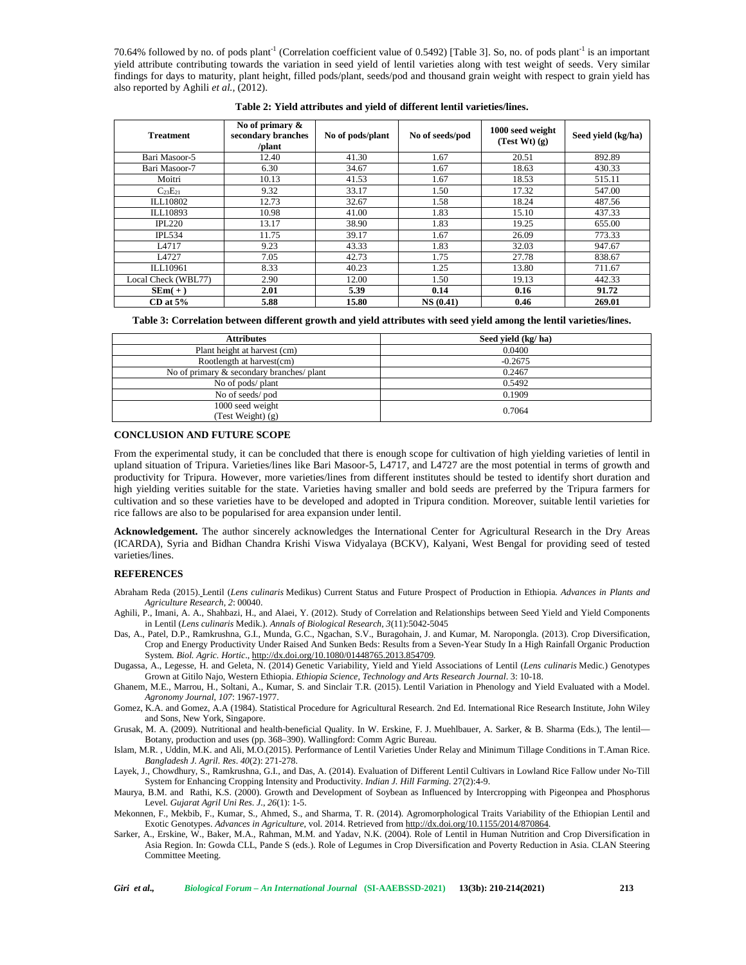70.64% followed by no. of pods plant<sup>-1</sup> (Correlation coefficient value of 0.5492) [Table 3]. So, no. of pods plant<sup>-1</sup> is an important yield attribute contributing towards the variation in seed yield of lentil varieties along with test weight of seeds. Very similar findings for days to maturity, plant height, filled pods/plant, seeds/pod and thousand grain weight with respect to grain yield has also reported by Aghili *et al.,* (2012).

| <b>Treatment</b>    | No of primary $\&$<br>secondary branches<br>/plant | No of pods/plant | No of seeds/pod | 1000 seed weight<br>(Test Wt) (g) | Seed vield (kg/ha) |
|---------------------|----------------------------------------------------|------------------|-----------------|-----------------------------------|--------------------|
| Bari Masoor-5       | 12.40                                              | 41.30            | 1.67            | 20.51                             | 892.89             |
| Bari Masoor-7       | 6.30                                               | 34.67            | 1.67            | 18.63                             | 430.33             |
| Moitri              | 10.13                                              | 41.53            | 1.67            | 18.53                             | 515.11             |
| $C_{23}E_{21}$      | 9.32                                               | 33.17            | 1.50            | 17.32                             | 547.00             |
| ILL10802            | 12.73                                              | 32.67            | 1.58            | 18.24                             | 487.56             |
| ILL10893            | 10.98                                              | 41.00            | 1.83            | 15.10                             | 437.33             |
| IPL220              | 13.17                                              | 38.90            | 1.83            | 19.25                             | 655.00             |
| <b>IPL534</b>       | 11.75                                              | 39.17            | 1.67            | 26.09                             | 773.33             |
| L4717               | 9.23                                               | 43.33            | 1.83            | 32.03                             | 947.67             |
| L4727               | 7.05                                               | 42.73            | 1.75            | 27.78                             | 838.67             |
| ILL10961            | 8.33                                               | 40.23            | 1.25            | 13.80                             | 711.67             |
| Local Check (WBL77) | 2.90                                               | 12.00            | 1.50            | 19.13                             | 442.33             |
| $SEM(+)$            | 2.01                                               | 5.39             | 0.14            | 0.16                              | 91.72              |
| $CD$ at $5\%$       | 5.88                                               | 15.80            | NS(0.41)        | 0.46                              | 269.01             |

**Table 2: Yield attributes and yield of different lentil varieties/lines.**

| Table 3: Correlation between different growth and yield attributes with seed yield among the lentil varieties/lines. |  |  |
|----------------------------------------------------------------------------------------------------------------------|--|--|
|----------------------------------------------------------------------------------------------------------------------|--|--|

| <b>Attributes</b>                         | Seed yield (kg/ha) |  |
|-------------------------------------------|--------------------|--|
| Plant height at harvest (cm)              | 0.0400             |  |
| Rootlength at harvest(cm)                 | $-0.2675$          |  |
| No of primary & secondary branches/ plant | 0.2467             |  |
| No of pods/ plant                         | 0.5492             |  |
| No of seeds/pod                           | 0.1909             |  |
| 1000 seed weight                          | 0.7064             |  |
| (Test Weight) (g)                         |                    |  |

### **CONCLUSION AND FUTURE SCOPE**

From the experimental study, it can be concluded that there is enough scope for cultivation of high yielding varieties of lentil in upland situation of Tripura. Varieties/lines like Bari Masoor-5, L4717, and L4727 are the most potential in terms of growth and productivity for Tripura. However, more varieties/lines from different institutes should be tested to identify short duration and high yielding verities suitable for the state. Varieties having smaller and bold seeds are preferred by the Tripura farmers for cultivation and so these varieties have to be developed and adopted in Tripura condition. Moreover, suitable lentil varieties for rice fallows are also to be popularised for area expansion under lentil.

**Acknowledgement.** The author sincerely acknowledges the International Center for Agricultural Research in the Dry Areas (ICARDA), Syria and Bidhan Chandra Krishi Viswa Vidyalaya (BCKV), Kalyani, West Bengal for providing seed of tested varieties/lines.

#### **REFERENCES**

- Abraham Reda (2015). Lentil (*Lens culinaris* Medikus) Current Status and Future Prospect of Production in Ethiopia*. Advances in Plants and Agriculture Research*, *2*: 00040.
- Aghili, P., Imani, A. A., Shahbazi, H., and Alaei, Y. (2012). Study of Correlation and Relationships between Seed Yield and Yield Components in Lentil (*Lens culinaris* Medik.). *Annals of Biological Research*, *3*(11):5042-5045
- Das, A., Patel, D.P., Ramkrushna, G.I., Munda, G.C., Ngachan, S.V., Buragohain, J. and Kumar, M. Naropongla. (2013). Crop Diversification, Crop and Energy Productivity Under Raised And Sunken Beds: Results from a Seven-Year Study In a High Rainfall Organic Production System*. Biol. Agric. Hortic*., <http://dx.doi.org/10.1080/>01448765.2013.854709.
- Dugassa, A., Legesse, H. and Geleta, N. (2014) Genetic Variability, Yield and Yield Associations of Lentil (*Lens culinaris* Medic.) Genotypes Grown at Gitilo Najo, Western Ethiopia. *Ethiopia Science, Technology and Arts Research Journal*. 3: 10-18.
- Ghanem, M.E., Marrou, H., Soltani, A., Kumar, S. and Sinclair T.R. (2015). Lentil Variation in Phenology and Yield Evaluated with a Model. *Agronomy Journal*, *107*: 1967-1977.
- Gomez, K.A. and Gomez, A.A (1984). Statistical Procedure for Agricultural Research. 2nd Ed. International Rice Research Institute, John Wiley and Sons, New York, Singapore.

Grusak, M. A. (2009). Nutritional and health-beneficial Quality. In W. Erskine, F. J. Muehlbauer, A. Sarker, & B. Sharma (Eds.), The lentil— Botany, production and uses (pp. 368–390). Wallingford: Comm Agric Bureau.

Islam, M.R. , Uddin, M.K. and Ali, M.O.(2015). Performance of Lentil Varieties Under Relay and Minimum Tillage Conditions in T.Aman Rice. *Bangladesh J. Agril. Res*. *40*(2): 271-278.

Layek, J., Chowdhury, S., Ramkrushna, G.I., and Das, A. (2014). Evaluation of Different Lentil Cultivars in Lowland Rice Fallow under No-Till System for Enhancing Cropping Intensity and Productivity. *Indian J. Hill Farming*. 27(2):4-9.

- Maurya, B.M. and Rathi, K.S. (2000). Growth and Development of Soybean as Influenced by Intercropping with Pigeonpea and Phosphorus Level. *Gujarat Agril Uni Res*. *J*., *26*(1): 1-5.
- Mekonnen, F., Mekbib, F., Kumar, S., Ahmed, S., and Sharma, T. R. (2014). Agromorphological Traits Variability of the Ethiopian Lentil and Exotic Genotypes. *Advances in Agriculture*, vol. 2014. Retrieved from [http://dx.doi.org/10.1155/2](http://dx.doi.org/10.1155/)014/870864.
- Sarker, A., Erskine, W., Baker, M.A., Rahman, M.M. and Yadav, N.K. (2004). Role of Lentil in Human Nutrition and Crop Diversification in Asia Region. In: Gowda CLL, Pande S (eds.). Role of Legumes in Crop Diversification and Poverty Reduction in Asia. CLAN Steering Committee Meeting.